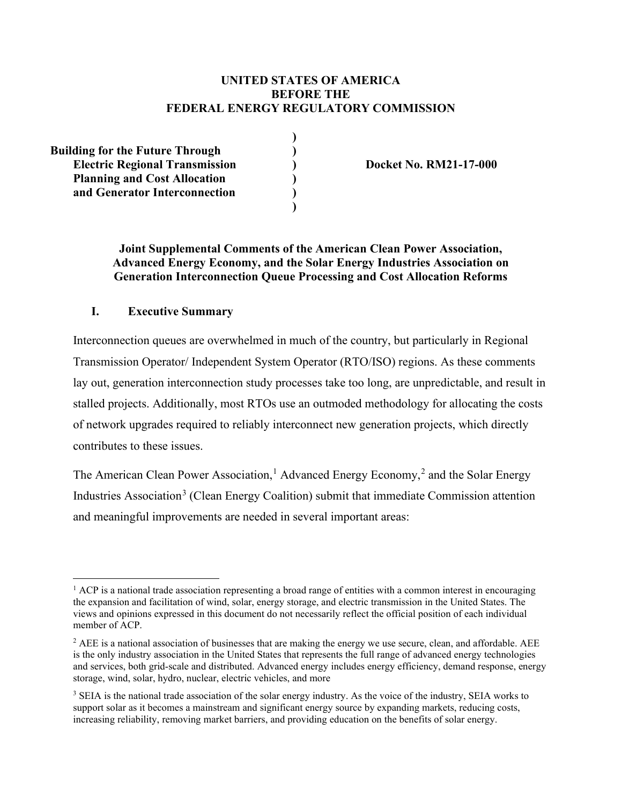# **UNITED STATES OF AMERICA BEFORE THE FEDERAL ENERGY REGULATORY COMMISSION**

**)**

**)** 

**Building for the Future Through ) Electric Regional Transmission ) Docket No. RM21-17-000 Planning and Cost Allocation ) and Generator Interconnection )**

## **Joint Supplemental Comments of the American Clean Power Association, Advanced Energy Economy, and the Solar Energy Industries Association on Generation Interconnection Queue Processing and Cost Allocation Reforms**

## **I. Executive Summary**

Interconnection queues are overwhelmed in much of the country, but particularly in Regional Transmission Operator/ Independent System Operator (RTO/ISO) regions. As these comments lay out, generation interconnection study processes take too long, are unpredictable, and result in stalled projects. Additionally, most RTOs use an outmoded methodology for allocating the costs of network upgrades required to reliably interconnect new generation projects, which directly contributes to these issues.

The American Clean Power Association,<sup>[1](#page-0-0)</sup> Advanced Energy Economy,<sup>[2](#page-0-1)</sup> and the Solar Energy Industries Association<sup>[3](#page-0-2)</sup> (Clean Energy Coalition) submit that immediate Commission attention and meaningful improvements are needed in several important areas:

<span id="page-0-0"></span> $<sup>1</sup>$  ACP is a national trade association representing a broad range of entities with a common interest in encouraging</sup> the expansion and facilitation of wind, solar, energy storage, and electric transmission in the United States. The views and opinions expressed in this document do not necessarily reflect the official position of each individual member of ACP.

<span id="page-0-1"></span> $2$  AEE is a national association of businesses that are making the energy we use secure, clean, and affordable. AEE is the only industry association in the United States that represents the full range of advanced energy technologies and services, both grid-scale and distributed. Advanced energy includes energy efficiency, demand response, energy storage, wind, solar, hydro, nuclear, electric vehicles, and more

<span id="page-0-2"></span><sup>&</sup>lt;sup>3</sup> SEIA is the national trade association of the solar energy industry. As the voice of the industry, SEIA works to support solar as it becomes a mainstream and significant energy source by expanding markets, reducing costs, increasing reliability, removing market barriers, and providing education on the benefits of solar energy.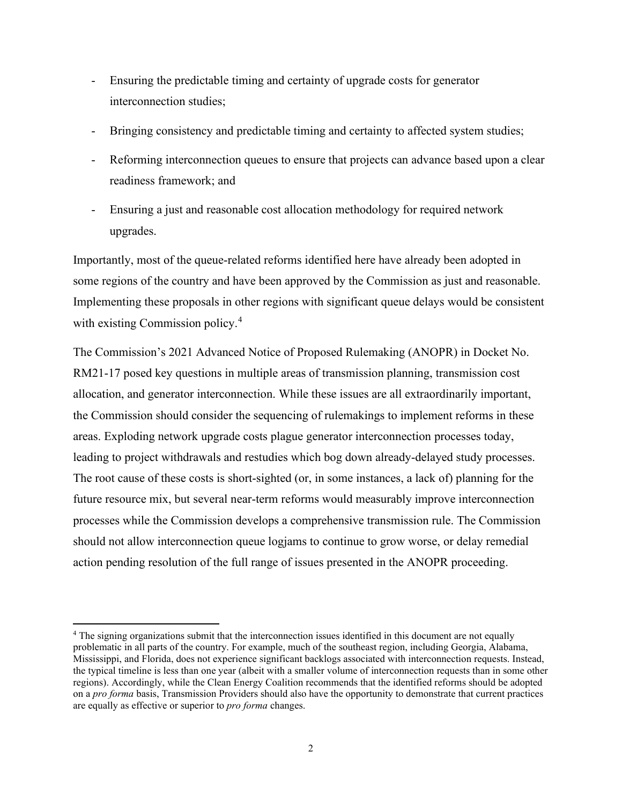- Ensuring the predictable timing and certainty of upgrade costs for generator interconnection studies;
- Bringing consistency and predictable timing and certainty to affected system studies;
- Reforming interconnection queues to ensure that projects can advance based upon a clear readiness framework; and
- Ensuring a just and reasonable cost allocation methodology for required network upgrades.

Importantly, most of the queue-related reforms identified here have already been adopted in some regions of the country and have been approved by the Commission as just and reasonable. Implementing these proposals in other regions with significant queue delays would be consistent with existing Commission policy. [4](#page-1-0)

The Commission's 2021 Advanced Notice of Proposed Rulemaking (ANOPR) in Docket No. RM21-17 posed key questions in multiple areas of transmission planning, transmission cost allocation, and generator interconnection. While these issues are all extraordinarily important, the Commission should consider the sequencing of rulemakings to implement reforms in these areas. Exploding network upgrade costs plague generator interconnection processes today, leading to project withdrawals and restudies which bog down already-delayed study processes. The root cause of these costs is short-sighted (or, in some instances, a lack of) planning for the future resource mix, but several near-term reforms would measurably improve interconnection processes while the Commission develops a comprehensive transmission rule. The Commission should not allow interconnection queue logjams to continue to grow worse, or delay remedial action pending resolution of the full range of issues presented in the ANOPR proceeding.

<span id="page-1-0"></span><sup>4</sup> The signing organizations submit that the interconnection issues identified in this document are not equally problematic in all parts of the country. For example, much of the southeast region, including Georgia, Alabama, Mississippi, and Florida, does not experience significant backlogs associated with interconnection requests. Instead, the typical timeline is less than one year (albeit with a smaller volume of interconnection requests than in some other regions). Accordingly, while the Clean Energy Coalition recommends that the identified reforms should be adopted on a *pro forma* basis, Transmission Providers should also have the opportunity to demonstrate that current practices are equally as effective or superior to *pro forma* changes.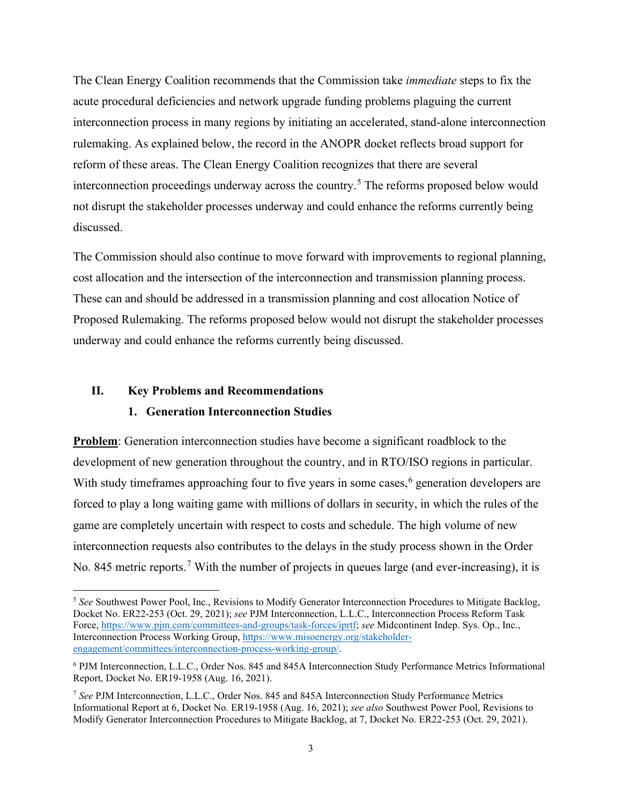The Clean Energy Coalition recommends that the Commission take *immediate* steps to fix the acute procedural deficiencies and network upgrade funding problems plaguing the current interconnection process in many regions by initiating an accelerated, stand-alone interconnection rulemaking. As explained below, the record in the ANOPR docket reflects broad support for reform of these areas. The Clean Energy Coalition recognizes that there are several interconnection proceedings underway across the country.<sup>[5](#page-2-0)</sup> The reforms proposed below would not disrupt the stakeholder processes underway and could enhance the reforms currently being discussed.

The Commission should also continue to move forward with improvements to regional planning, cost allocation and the intersection of the interconnection and transmission planning process. These can and should be addressed in a transmission planning and cost allocation Notice of Proposed Rulemaking. The reforms proposed below would not disrupt the stakeholder processes underway and could enhance the reforms currently being discussed.

## **II. Key Problems and Recommendations**

### **1. Generation Interconnection Studies**

**Problem**: Generation interconnection studies have become a significant roadblock to the development of new generation throughout the country, and in RTO/ISO regions in particular. With study timeframes approaching four to five years in some cases,<sup>[6](#page-2-1)</sup> generation developers are forced to play a long waiting game with millions of dollars in security, in which the rules of the game are completely uncertain with respect to costs and schedule. The high volume of new interconnection requests also contributes to the delays in the study process shown in the Order No. 845 metric reports.<sup>[7](#page-2-2)</sup> With the number of projects in queues large (and ever-increasing), it is

<span id="page-2-0"></span><sup>5</sup> *See* Southwest Power Pool, Inc., Revisions to Modify Generator Interconnection Procedures to Mitigate Backlog, Docket No. ER22-253 (Oct. 29, 2021); *see* PJM Interconnection, L.L.C., Interconnection Process Reform Task Force, [https://www.pjm.com/committees-and-groups/task-forces/iprtf;](https://www.pjm.com/committees-and-groups/task-forces/iprtf) *see* Midcontinent Indep. Sys. Op., Inc., Interconnection Process Working Group, [https://www.misoenergy.org/stakeholder](https://www.misoenergy.org/stakeholder-engagement/committees/interconnection-process-working-group/)[engagement/committees/interconnection-process-working-group/.](https://www.misoenergy.org/stakeholder-engagement/committees/interconnection-process-working-group/)

<span id="page-2-1"></span><sup>6</sup> PJM Interconnection, L.L.C., Order Nos. 845 and 845A Interconnection Study Performance Metrics Informational Report, Docket No. ER19-1958 (Aug. 16, 2021).

<span id="page-2-2"></span><sup>7</sup> *See* PJM Interconnection, L.L.C., Order Nos. 845 and 845A Interconnection Study Performance Metrics Informational Report at 6, Docket No. ER19-1958 (Aug. 16, 2021); *see also* Southwest Power Pool, Revisions to Modify Generator Interconnection Procedures to Mitigate Backlog, at 7, Docket No. ER22-253 (Oct. 29, 2021).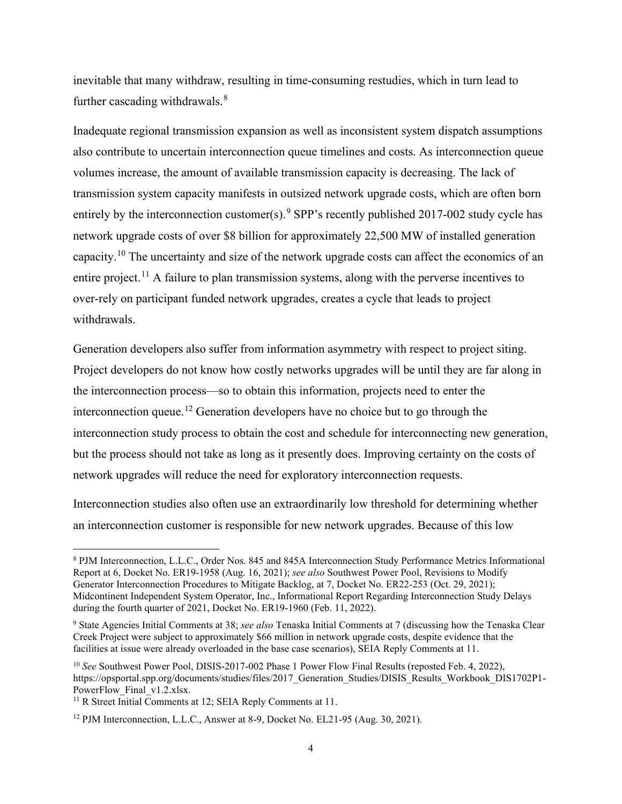inevitable that many withdraw, resulting in time-consuming restudies, which in turn lead to further cascading withdrawals.<sup>[8](#page-3-0)</sup>

Inadequate regional transmission expansion as well as inconsistent system dispatch assumptions also contribute to uncertain interconnection queue timelines and costs. As interconnection queue volumes increase, the amount of available transmission capacity is decreasing. The lack of transmission system capacity manifests in outsized network upgrade costs, which are often born entirely by the interconnection customer(s).  $9$  SPP's recently published 2017-002 study cycle has network upgrade costs of over \$8 billion for approximately 22,500 MW of installed generation capacity.<sup>[10](#page-3-2)</sup> The uncertainty and size of the network upgrade costs can affect the economics of an entire project.<sup>[11](#page-3-3)</sup> A failure to plan transmission systems, along with the perverse incentives to over-rely on participant funded network upgrades, creates a cycle that leads to project withdrawals.

Generation developers also suffer from information asymmetry with respect to project siting. Project developers do not know how costly networks upgrades will be until they are far along in the interconnection process—so to obtain this information, projects need to enter the interconnection queue.<sup>[12](#page-3-4)</sup> Generation developers have no choice but to go through the interconnection study process to obtain the cost and schedule for interconnecting new generation, but the process should not take as long as it presently does. Improving certainty on the costs of network upgrades will reduce the need for exploratory interconnection requests.

Interconnection studies also often use an extraordinarily low threshold for determining whether an interconnection customer is responsible for new network upgrades. Because of this low

<span id="page-3-0"></span><sup>8</sup> PJM Interconnection, L.L.C., Order Nos. 845 and 845A Interconnection Study Performance Metrics Informational Report at 6, Docket No. ER19-1958 (Aug. 16, 2021); *see also* Southwest Power Pool, Revisions to Modify Generator Interconnection Procedures to Mitigate Backlog, at 7, Docket No. ER22-253 (Oct. 29, 2021); Midcontinent Independent System Operator, Inc., Informational Report Regarding Interconnection Study Delays during the fourth quarter of 2021, Docket No. ER19-1960 (Feb. 11, 2022).

<span id="page-3-1"></span><sup>9</sup> State Agencies Initial Comments at 38; *see also* Tenaska Initial Comments at 7 (discussing how the Tenaska Clear Creek Project were subject to approximately \$66 million in network upgrade costs, despite evidence that the facilities at issue were already overloaded in the base case scenarios), SEIA Reply Comments at 11.

<span id="page-3-2"></span><sup>10</sup> *See* Southwest Power Pool, DISIS-2017-002 Phase 1 Power Flow Final Results (reposted Feb. 4, 2022), https://opsportal.spp.org/documents/studies/files/2017 Generation Studies/DISIS Results Workbook DIS1702P1-PowerFlow Final v1.2.xlsx.

<span id="page-3-3"></span><sup>&</sup>lt;sup>11</sup> R Street Initial Comments at 12; SEIA Reply Comments at 11.

<span id="page-3-4"></span><sup>&</sup>lt;sup>12</sup> PJM Interconnection, L.L.C., Answer at 8-9, Docket No. EL21-95 (Aug. 30, 2021).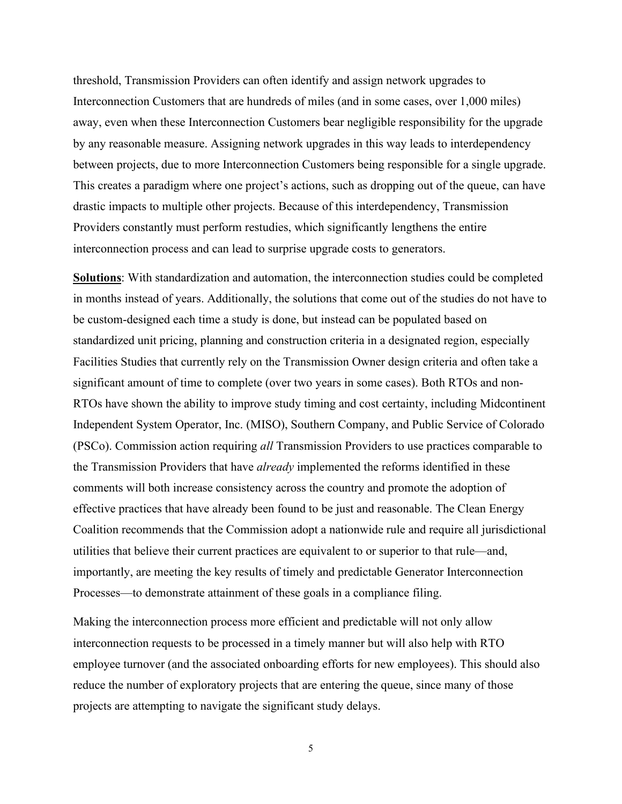threshold, Transmission Providers can often identify and assign network upgrades to Interconnection Customers that are hundreds of miles (and in some cases, over 1,000 miles) away, even when these Interconnection Customers bear negligible responsibility for the upgrade by any reasonable measure. Assigning network upgrades in this way leads to interdependency between projects, due to more Interconnection Customers being responsible for a single upgrade. This creates a paradigm where one project's actions, such as dropping out of the queue, can have drastic impacts to multiple other projects. Because of this interdependency, Transmission Providers constantly must perform restudies, which significantly lengthens the entire interconnection process and can lead to surprise upgrade costs to generators.

**Solutions**: With standardization and automation, the interconnection studies could be completed in months instead of years. Additionally, the solutions that come out of the studies do not have to be custom-designed each time a study is done, but instead can be populated based on standardized unit pricing, planning and construction criteria in a designated region, especially Facilities Studies that currently rely on the Transmission Owner design criteria and often take a significant amount of time to complete (over two years in some cases). Both RTOs and non-RTOs have shown the ability to improve study timing and cost certainty, including Midcontinent Independent System Operator, Inc. (MISO), Southern Company, and Public Service of Colorado (PSCo). Commission action requiring *all* Transmission Providers to use practices comparable to the Transmission Providers that have *already* implemented the reforms identified in these comments will both increase consistency across the country and promote the adoption of effective practices that have already been found to be just and reasonable. The Clean Energy Coalition recommends that the Commission adopt a nationwide rule and require all jurisdictional utilities that believe their current practices are equivalent to or superior to that rule—and, importantly, are meeting the key results of timely and predictable Generator Interconnection Processes—to demonstrate attainment of these goals in a compliance filing.

Making the interconnection process more efficient and predictable will not only allow interconnection requests to be processed in a timely manner but will also help with RTO employee turnover (and the associated onboarding efforts for new employees). This should also reduce the number of exploratory projects that are entering the queue, since many of those projects are attempting to navigate the significant study delays.

5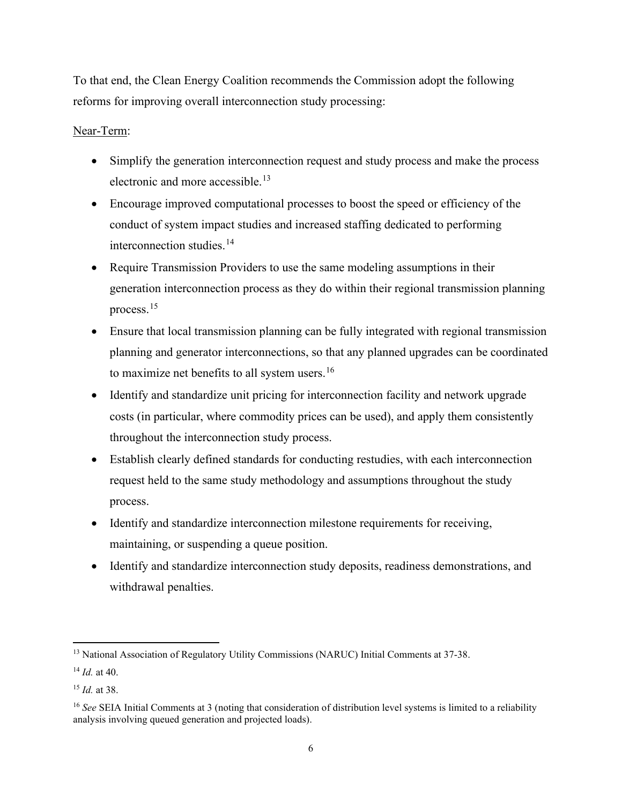To that end, the Clean Energy Coalition recommends the Commission adopt the following reforms for improving overall interconnection study processing:

# Near-Term:

- Simplify the generation interconnection request and study process and make the process electronic and more accessible.<sup>[13](#page-5-0)</sup>
- Encourage improved computational processes to boost the speed or efficiency of the conduct of system impact studies and increased staffing dedicated to performing interconnection studies.<sup>[14](#page-5-1)</sup>
- Require Transmission Providers to use the same modeling assumptions in their generation interconnection process as they do within their regional transmission planning process.[15](#page-5-2)
- Ensure that local transmission planning can be fully integrated with regional transmission planning and generator interconnections, so that any planned upgrades can be coordinated to maximize net benefits to all system users.<sup>[16](#page-5-3)</sup>
- Identify and standardize unit pricing for interconnection facility and network upgrade costs (in particular, where commodity prices can be used), and apply them consistently throughout the interconnection study process.
- Establish clearly defined standards for conducting restudies, with each interconnection request held to the same study methodology and assumptions throughout the study process.
- Identify and standardize interconnection milestone requirements for receiving, maintaining, or suspending a queue position.
- Identify and standardize interconnection study deposits, readiness demonstrations, and withdrawal penalties.

<span id="page-5-0"></span><sup>&</sup>lt;sup>13</sup> National Association of Regulatory Utility Commissions (NARUC) Initial Comments at 37-38.

<span id="page-5-1"></span><sup>14</sup> *Id.* at 40.

<span id="page-5-2"></span><sup>15</sup> *Id.* at 38.

<span id="page-5-3"></span><sup>16</sup> *See* SEIA Initial Comments at 3 (noting that consideration of distribution level systems is limited to a reliability analysis involving queued generation and projected loads).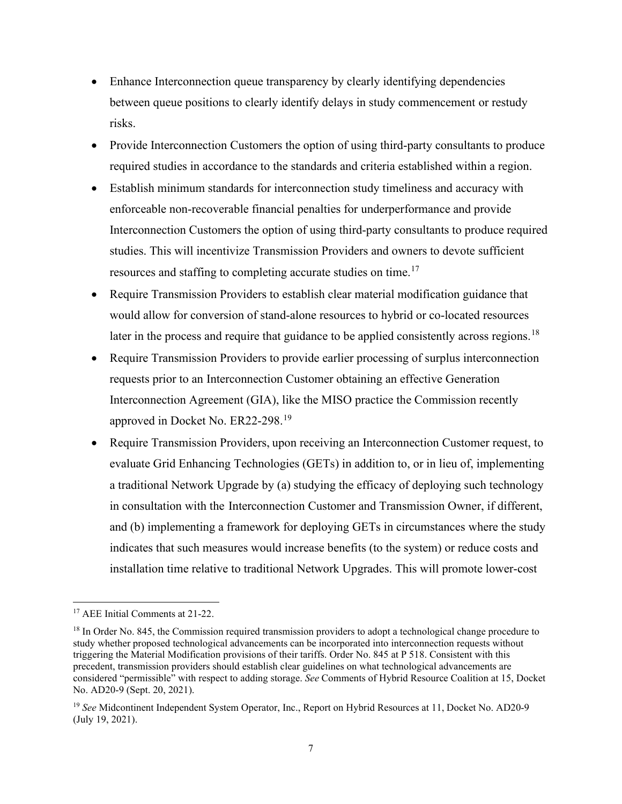- Enhance Interconnection queue transparency by clearly identifying dependencies between queue positions to clearly identify delays in study commencement or restudy risks.
- Provide Interconnection Customers the option of using third-party consultants to produce required studies in accordance to the standards and criteria established within a region.
- Establish minimum standards for interconnection study timeliness and accuracy with enforceable non-recoverable financial penalties for underperformance and provide Interconnection Customers the option of using third-party consultants to produce required studies. This will incentivize Transmission Providers and owners to devote sufficient resources and staffing to completing accurate studies on time.<sup>[17](#page-6-0)</sup>
- Require Transmission Providers to establish clear material modification guidance that would allow for conversion of stand-alone resources to hybrid or co-located resources later in the process and require that guidance to be applied consistently across regions.<sup>[18](#page-6-1)</sup>
- Require Transmission Providers to provide earlier processing of surplus interconnection requests prior to an Interconnection Customer obtaining an effective Generation Interconnection Agreement (GIA), like the MISO practice the Commission recently approved in Docket No. ER22-298.<sup>[19](#page-6-2)</sup>
- Require Transmission Providers, upon receiving an Interconnection Customer request, to evaluate Grid Enhancing Technologies (GETs) in addition to, or in lieu of, implementing a traditional Network Upgrade by (a) studying the efficacy of deploying such technology in consultation with the Interconnection Customer and Transmission Owner, if different, and (b) implementing a framework for deploying GETs in circumstances where the study indicates that such measures would increase benefits (to the system) or reduce costs and installation time relative to traditional Network Upgrades. This will promote lower-cost

<span id="page-6-0"></span><sup>&</sup>lt;sup>17</sup> AEE Initial Comments at 21-22.

<span id="page-6-1"></span><sup>&</sup>lt;sup>18</sup> In Order No. 845, the Commission required transmission providers to adopt a technological change procedure to study whether proposed technological advancements can be incorporated into interconnection requests without triggering the Material Modification provisions of their tariffs. Order No. 845 at P 518. Consistent with this precedent, transmission providers should establish clear guidelines on what technological advancements are considered "permissible" with respect to adding storage. *See* Comments of Hybrid Resource Coalition at 15, Docket No. AD20-9 (Sept. 20, 2021).

<span id="page-6-2"></span><sup>19</sup> *See* Midcontinent Independent System Operator, Inc., Report on Hybrid Resources at 11, Docket No. AD20-9 (July 19, 2021).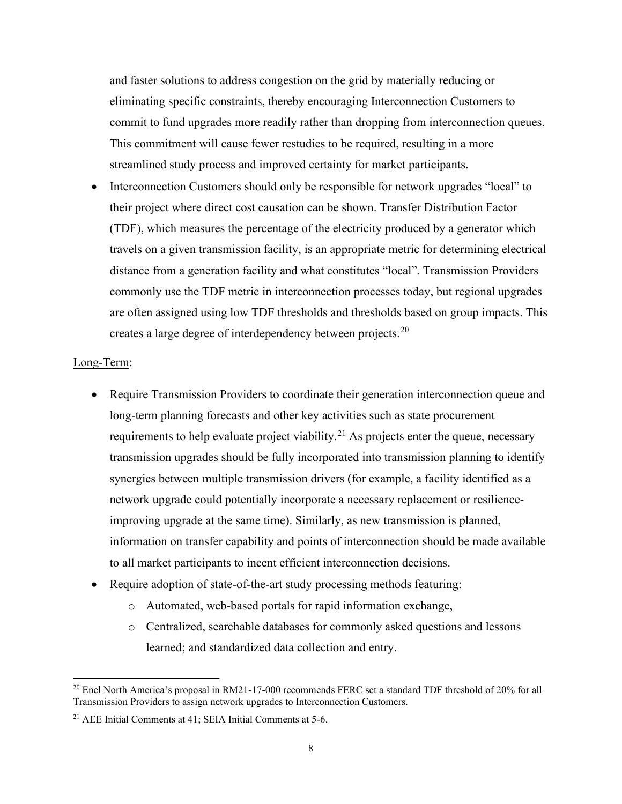and faster solutions to address congestion on the grid by materially reducing or eliminating specific constraints, thereby encouraging Interconnection Customers to commit to fund upgrades more readily rather than dropping from interconnection queues. This commitment will cause fewer restudies to be required, resulting in a more streamlined study process and improved certainty for market participants.

• Interconnection Customers should only be responsible for network upgrades "local" to their project where direct cost causation can be shown. Transfer Distribution Factor (TDF), which measures the percentage of the electricity produced by a generator which travels on a given transmission facility, is an appropriate metric for determining electrical distance from a generation facility and what constitutes "local". Transmission Providers commonly use the TDF metric in interconnection processes today, but regional upgrades are often assigned using low TDF thresholds and thresholds based on group impacts. This creates a large degree of interdependency between projects.<sup>[20](#page-7-0)</sup>

### Long-Term:

- Require Transmission Providers to coordinate their generation interconnection queue and long-term planning forecasts and other key activities such as state procurement requirements to help evaluate project viability.<sup>[21](#page-7-1)</sup> As projects enter the queue, necessary transmission upgrades should be fully incorporated into transmission planning to identify synergies between multiple transmission drivers (for example, a facility identified as a network upgrade could potentially incorporate a necessary replacement or resilienceimproving upgrade at the same time). Similarly, as new transmission is planned, information on transfer capability and points of interconnection should be made available to all market participants to incent efficient interconnection decisions.
- Require adoption of state-of-the-art study processing methods featuring:
	- o Automated, web-based portals for rapid information exchange,
	- o Centralized, searchable databases for commonly asked questions and lessons learned; and standardized data collection and entry.

<span id="page-7-0"></span><sup>&</sup>lt;sup>20</sup> Enel North America's proposal in RM21-17-000 recommends FERC set a standard TDF threshold of 20% for all Transmission Providers to assign network upgrades to Interconnection Customers.

<span id="page-7-1"></span><sup>21</sup> AEE Initial Comments at 41; SEIA Initial Comments at 5-6.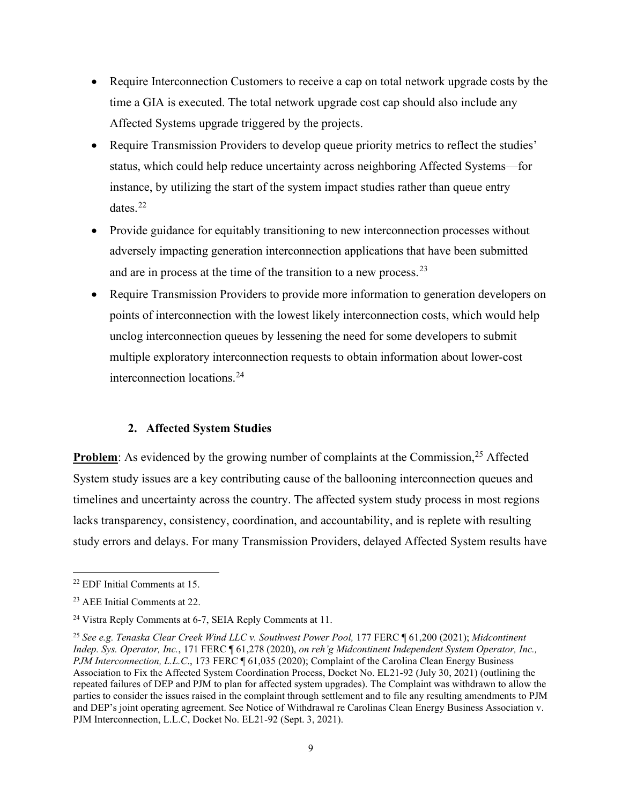- Require Interconnection Customers to receive a cap on total network upgrade costs by the time a GIA is executed. The total network upgrade cost cap should also include any Affected Systems upgrade triggered by the projects.
- Require Transmission Providers to develop queue priority metrics to reflect the studies' status, which could help reduce uncertainty across neighboring Affected Systems—for instance, by utilizing the start of the system impact studies rather than queue entry dates.[22](#page-8-0)
- Provide guidance for equitably transitioning to new interconnection processes without adversely impacting generation interconnection applications that have been submitted and are in process at the time of the transition to a new process.<sup>[23](#page-8-1)</sup>
- Require Transmission Providers to provide more information to generation developers on points of interconnection with the lowest likely interconnection costs, which would help unclog interconnection queues by lessening the need for some developers to submit multiple exploratory interconnection requests to obtain information about lower-cost interconnection locations.[24](#page-8-2)

## **2. Affected System Studies**

**Problem**: As evidenced by the growing number of complaints at the Commission,<sup>[25](#page-8-3)</sup> Affected System study issues are a key contributing cause of the ballooning interconnection queues and timelines and uncertainty across the country. The affected system study process in most regions lacks transparency, consistency, coordination, and accountability, and is replete with resulting study errors and delays. For many Transmission Providers, delayed Affected System results have

<span id="page-8-0"></span><sup>22</sup> EDF Initial Comments at 15.

<span id="page-8-1"></span><sup>23</sup> AEE Initial Comments at 22.

<span id="page-8-2"></span><sup>24</sup> Vistra Reply Comments at 6-7, SEIA Reply Comments at 11.

<span id="page-8-3"></span><sup>25</sup> *See e.g. Tenaska Clear Creek Wind LLC v. Southwest Power Pool,* 177 FERC ¶ 61,200 (2021); *Midcontinent Indep. Sys. Operator, Inc.*, 171 FERC ¶ 61,278 (2020), *on reh'g Midcontinent Independent System Operator, Inc., PJM Interconnection, L.L.C.*, 173 FERC ¶ 61,035 (2020); Complaint of the Carolina Clean Energy Business Association to Fix the Affected System Coordination Process, Docket No. EL21-92 (July 30, 2021) (outlining the repeated failures of DEP and PJM to plan for affected system upgrades). The Complaint was withdrawn to allow the parties to consider the issues raised in the complaint through settlement and to file any resulting amendments to PJM and DEP's joint operating agreement. See Notice of Withdrawal re Carolinas Clean Energy Business Association v. PJM Interconnection, L.L.C, Docket No. EL21-92 (Sept. 3, 2021).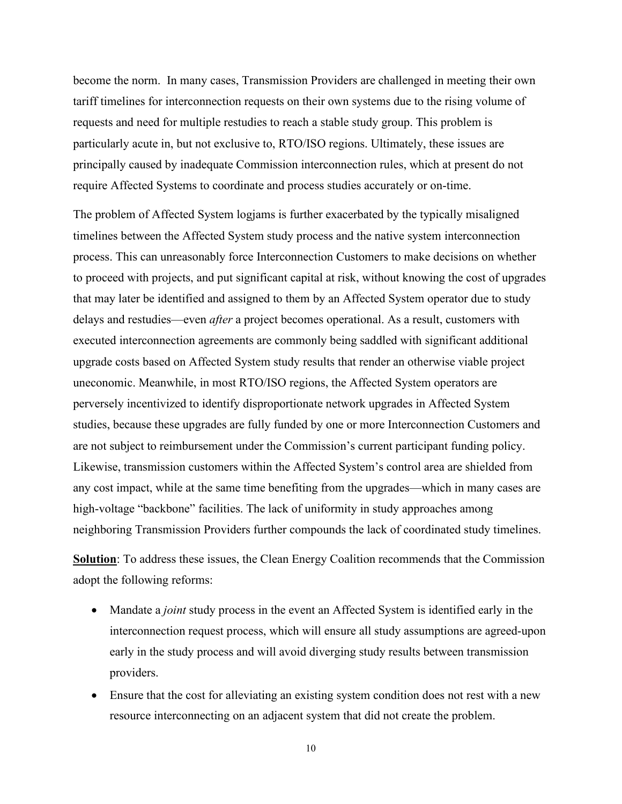become the norm. In many cases, Transmission Providers are challenged in meeting their own tariff timelines for interconnection requests on their own systems due to the rising volume of requests and need for multiple restudies to reach a stable study group. This problem is particularly acute in, but not exclusive to, RTO/ISO regions. Ultimately, these issues are principally caused by inadequate Commission interconnection rules, which at present do not require Affected Systems to coordinate and process studies accurately or on-time.

The problem of Affected System logjams is further exacerbated by the typically misaligned timelines between the Affected System study process and the native system interconnection process. This can unreasonably force Interconnection Customers to make decisions on whether to proceed with projects, and put significant capital at risk, without knowing the cost of upgrades that may later be identified and assigned to them by an Affected System operator due to study delays and restudies—even *after* a project becomes operational. As a result, customers with executed interconnection agreements are commonly being saddled with significant additional upgrade costs based on Affected System study results that render an otherwise viable project uneconomic. Meanwhile, in most RTO/ISO regions, the Affected System operators are perversely incentivized to identify disproportionate network upgrades in Affected System studies, because these upgrades are fully funded by one or more Interconnection Customers and are not subject to reimbursement under the Commission's current participant funding policy. Likewise, transmission customers within the Affected System's control area are shielded from any cost impact, while at the same time benefiting from the upgrades—which in many cases are high-voltage "backbone" facilities. The lack of uniformity in study approaches among neighboring Transmission Providers further compounds the lack of coordinated study timelines.

**Solution**: To address these issues, the Clean Energy Coalition recommends that the Commission adopt the following reforms:

- Mandate a *joint* study process in the event an Affected System is identified early in the interconnection request process, which will ensure all study assumptions are agreed-upon early in the study process and will avoid diverging study results between transmission providers.
- Ensure that the cost for alleviating an existing system condition does not rest with a new resource interconnecting on an adjacent system that did not create the problem.

10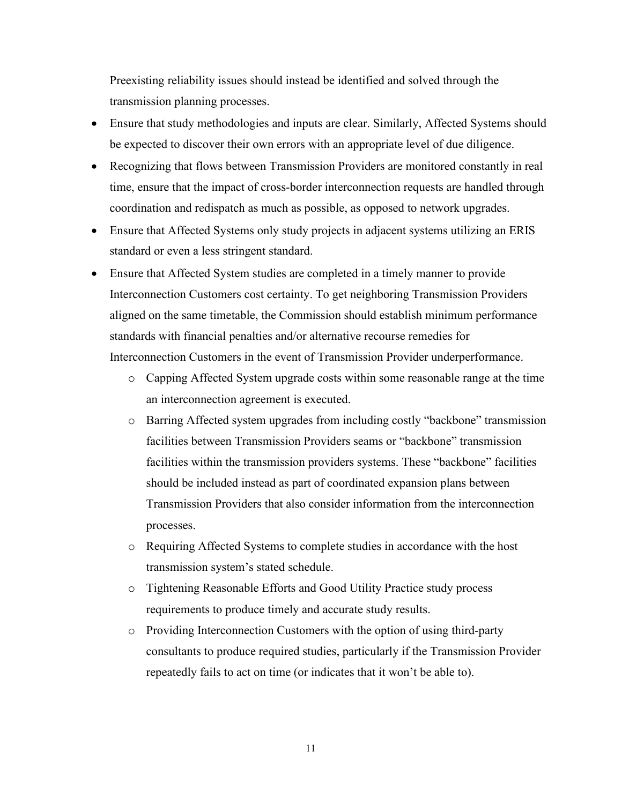Preexisting reliability issues should instead be identified and solved through the transmission planning processes.

- Ensure that study methodologies and inputs are clear. Similarly, Affected Systems should be expected to discover their own errors with an appropriate level of due diligence.
- Recognizing that flows between Transmission Providers are monitored constantly in real time, ensure that the impact of cross-border interconnection requests are handled through coordination and redispatch as much as possible, as opposed to network upgrades.
- Ensure that Affected Systems only study projects in adjacent systems utilizing an ERIS standard or even a less stringent standard.
- Ensure that Affected System studies are completed in a timely manner to provide Interconnection Customers cost certainty. To get neighboring Transmission Providers aligned on the same timetable, the Commission should establish minimum performance standards with financial penalties and/or alternative recourse remedies for Interconnection Customers in the event of Transmission Provider underperformance.
	- o Capping Affected System upgrade costs within some reasonable range at the time an interconnection agreement is executed.
	- o Barring Affected system upgrades from including costly "backbone" transmission facilities between Transmission Providers seams or "backbone" transmission facilities within the transmission providers systems. These "backbone" facilities should be included instead as part of coordinated expansion plans between Transmission Providers that also consider information from the interconnection processes.
	- o Requiring Affected Systems to complete studies in accordance with the host transmission system's stated schedule.
	- o Tightening Reasonable Efforts and Good Utility Practice study process requirements to produce timely and accurate study results.
	- o Providing Interconnection Customers with the option of using third-party consultants to produce required studies, particularly if the Transmission Provider repeatedly fails to act on time (or indicates that it won't be able to).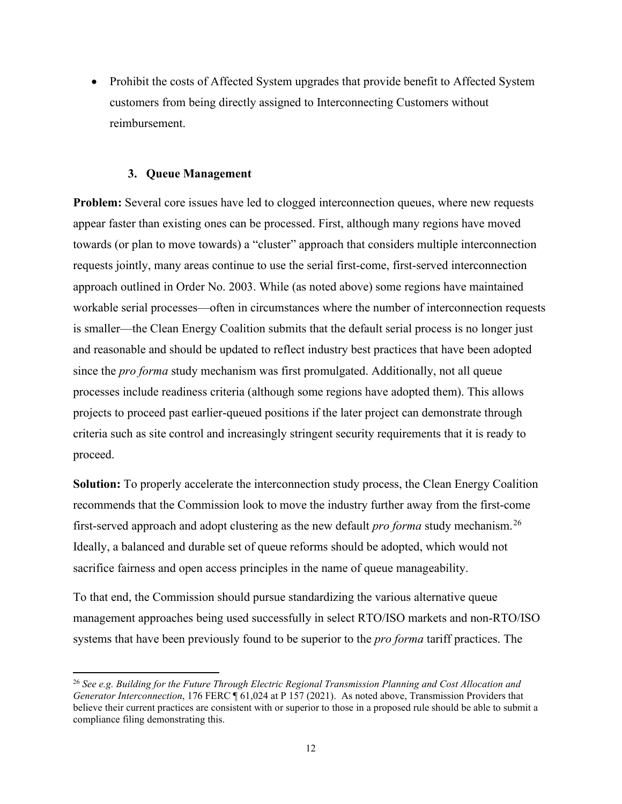• Prohibit the costs of Affected System upgrades that provide benefit to Affected System customers from being directly assigned to Interconnecting Customers without reimbursement.

### **3. Queue Management**

**Problem:** Several core issues have led to clogged interconnection queues, where new requests appear faster than existing ones can be processed. First, although many regions have moved towards (or plan to move towards) a "cluster" approach that considers multiple interconnection requests jointly, many areas continue to use the serial first-come, first-served interconnection approach outlined in Order No. 2003. While (as noted above) some regions have maintained workable serial processes—often in circumstances where the number of interconnection requests is smaller—the Clean Energy Coalition submits that the default serial process is no longer just and reasonable and should be updated to reflect industry best practices that have been adopted since the *pro forma* study mechanism was first promulgated. Additionally, not all queue processes include readiness criteria (although some regions have adopted them). This allows projects to proceed past earlier-queued positions if the later project can demonstrate through criteria such as site control and increasingly stringent security requirements that it is ready to proceed.

**Solution:** To properly accelerate the interconnection study process, the Clean Energy Coalition recommends that the Commission look to move the industry further away from the first-come first-served approach and adopt clustering as the new default *pro forma* study mechanism.[26](#page-11-0) Ideally, a balanced and durable set of queue reforms should be adopted, which would not sacrifice fairness and open access principles in the name of queue manageability.

To that end, the Commission should pursue standardizing the various alternative queue management approaches being used successfully in select RTO/ISO markets and non-RTO/ISO systems that have been previously found to be superior to the *pro forma* tariff practices. The

<span id="page-11-0"></span><sup>26</sup> *See e.g. Building for the Future Through Electric Regional Transmission Planning and Cost Allocation and Generator Interconnection*, 176 FERC ¶ 61,024 at P 157 (2021). As noted above, Transmission Providers that believe their current practices are consistent with or superior to those in a proposed rule should be able to submit a compliance filing demonstrating this.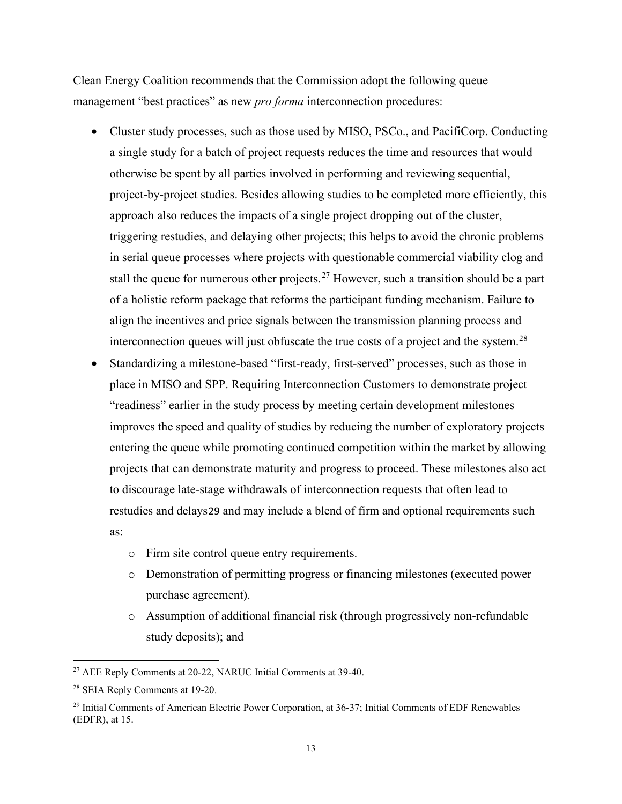Clean Energy Coalition recommends that the Commission adopt the following queue management "best practices" as new *pro forma* interconnection procedures:

- Cluster study processes, such as those used by MISO, PSCo., and PacifiCorp. Conducting a single study for a batch of project requests reduces the time and resources that would otherwise be spent by all parties involved in performing and reviewing sequential, project-by-project studies. Besides allowing studies to be completed more efficiently, this approach also reduces the impacts of a single project dropping out of the cluster, triggering restudies, and delaying other projects; this helps to avoid the chronic problems in serial queue processes where projects with questionable commercial viability clog and stall the queue for numerous other projects.<sup>[27](#page-12-0)</sup> However, such a transition should be a part of a holistic reform package that reforms the participant funding mechanism. Failure to align the incentives and price signals between the transmission planning process and interconnection queues will just obfuscate the true costs of a project and the system.<sup>[28](#page-12-1)</sup>
- Standardizing a milestone-based "first-ready, first-served" processes, such as those in place in MISO and SPP. Requiring Interconnection Customers to demonstrate project "readiness" earlier in the study process by meeting certain development milestones improves the speed and quality of studies by reducing the number of exploratory projects entering the queue while promoting continued competition within the market by allowing projects that can demonstrate maturity and progress to proceed. These milestones also act to discourage late-stage withdrawals of interconnection requests that often lead to restudies and delays[29](#page-12-2) and may include a blend of firm and optional requirements such as:
	- o Firm site control queue entry requirements.
	- o Demonstration of permitting progress or financing milestones (executed power purchase agreement).
	- o Assumption of additional financial risk (through progressively non-refundable study deposits); and

<span id="page-12-0"></span><sup>27</sup> AEE Reply Comments at 20-22, NARUC Initial Comments at 39-40.

<span id="page-12-1"></span><sup>28</sup> SEIA Reply Comments at 19-20.

<span id="page-12-2"></span><sup>&</sup>lt;sup>29</sup> Initial Comments of American Electric Power Corporation, at 36-37; Initial Comments of EDF Renewables (EDFR), at 15.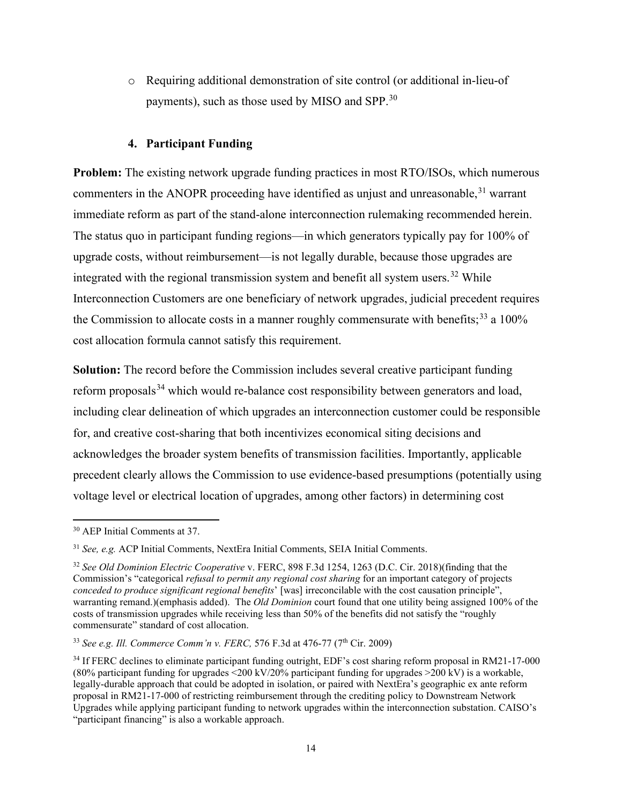o Requiring additional demonstration of site control (or additional in-lieu-of payments), such as those used by MISO and SPP. $^{30}$  $^{30}$  $^{30}$ 

### **4. Participant Funding**

**Problem:** The existing network upgrade funding practices in most RTO/ISOs, which numerous commenters in the ANOPR proceeding have identified as unjust and unreasonable,  $31$  warrant immediate reform as part of the stand-alone interconnection rulemaking recommended herein. The status quo in participant funding regions—in which generators typically pay for 100% of upgrade costs, without reimbursement—is not legally durable, because those upgrades are integrated with the regional transmission system and benefit all system users.<sup>[32](#page-13-2)</sup> While Interconnection Customers are one beneficiary of network upgrades, judicial precedent requires the Commission to allocate costs in a manner roughly commensurate with benefits;<sup>[33](#page-13-3)</sup> a  $100\%$ cost allocation formula cannot satisfy this requirement.

**Solution:** The record before the Commission includes several creative participant funding reform proposals<sup>[34](#page-13-4)</sup> which would re-balance cost responsibility between generators and load, including clear delineation of which upgrades an interconnection customer could be responsible for, and creative cost-sharing that both incentivizes economical siting decisions and acknowledges the broader system benefits of transmission facilities. Importantly, applicable precedent clearly allows the Commission to use evidence-based presumptions (potentially using voltage level or electrical location of upgrades, among other factors) in determining cost

<span id="page-13-0"></span><sup>30</sup> AEP Initial Comments at 37.

<span id="page-13-1"></span><sup>31</sup> *See, e.g.* ACP Initial Comments, NextEra Initial Comments, SEIA Initial Comments.

<span id="page-13-2"></span><sup>32</sup> *See Old Dominion Electric Cooperative* v. FERC, 898 F.3d 1254, 1263 (D.C. Cir. 2018)(finding that the Commission's "categorical *refusal to permit any regional cost sharing* for an important category of projects *conceded to produce significant regional benefits*' [was] irreconcilable with the cost causation principle", warranting remand.)(emphasis added). The *Old Dominion* court found that one utility being assigned 100% of the costs of transmission upgrades while receiving less than 50% of the benefits did not satisfy the "roughly commensurate" standard of cost allocation.

<span id="page-13-3"></span><sup>33</sup> *See e.g. Ill. Commerce Comm'n v. FERC,* 576 F.3d at 476-77 (7th Cir. 2009)

<span id="page-13-4"></span><sup>&</sup>lt;sup>34</sup> If FERC declines to eliminate participant funding outright, EDF's cost sharing reform proposal in RM21-17-000 (80% participant funding for upgrades  $\leq$ 200 kV/20% participant funding for upgrades  $\geq$ 200 kV) is a workable, legally-durable approach that could be adopted in isolation, or paired with NextEra's geographic ex ante reform proposal in RM21-17-000 of restricting reimbursement through the crediting policy to Downstream Network Upgrades while applying participant funding to network upgrades within the interconnection substation. CAISO's "participant financing" is also a workable approach.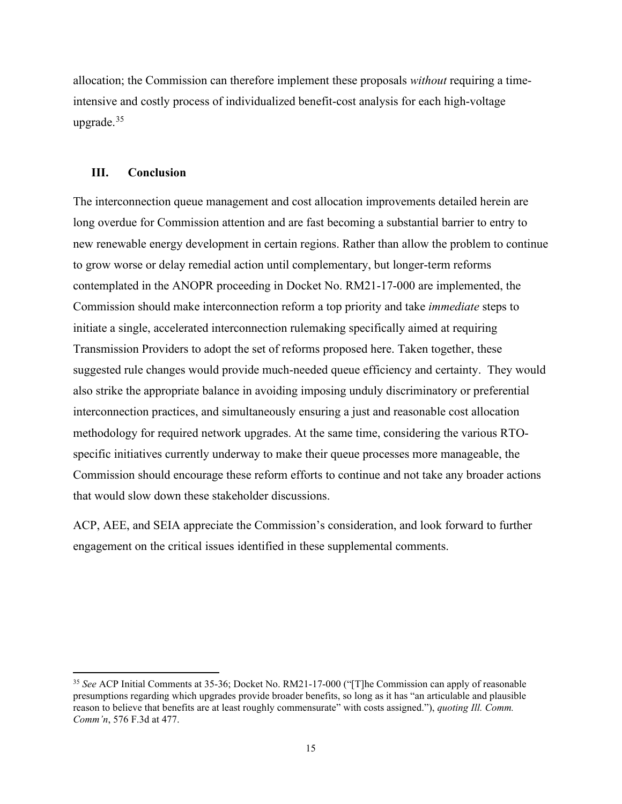allocation; the Commission can therefore implement these proposals *without* requiring a timeintensive and costly process of individualized benefit-cost analysis for each high-voltage upgrade. $35$ 

#### **III. Conclusion**

The interconnection queue management and cost allocation improvements detailed herein are long overdue for Commission attention and are fast becoming a substantial barrier to entry to new renewable energy development in certain regions. Rather than allow the problem to continue to grow worse or delay remedial action until complementary, but longer-term reforms contemplated in the ANOPR proceeding in Docket No. RM21-17-000 are implemented, the Commission should make interconnection reform a top priority and take *immediate* steps to initiate a single, accelerated interconnection rulemaking specifically aimed at requiring Transmission Providers to adopt the set of reforms proposed here. Taken together, these suggested rule changes would provide much-needed queue efficiency and certainty. They would also strike the appropriate balance in avoiding imposing unduly discriminatory or preferential interconnection practices, and simultaneously ensuring a just and reasonable cost allocation methodology for required network upgrades. At the same time, considering the various RTOspecific initiatives currently underway to make their queue processes more manageable, the Commission should encourage these reform efforts to continue and not take any broader actions that would slow down these stakeholder discussions.

ACP, AEE, and SEIA appreciate the Commission's consideration, and look forward to further engagement on the critical issues identified in these supplemental comments.

<span id="page-14-0"></span><sup>35</sup> *See* ACP Initial Comments at 35-36; Docket No. RM21-17-000 ("[T]he Commission can apply of reasonable presumptions regarding which upgrades provide broader benefits, so long as it has "an articulable and plausible reason to believe that benefits are at least roughly commensurate" with costs assigned."), *quoting Ill. Comm. Comm'n*, 576 F.3d at 477.